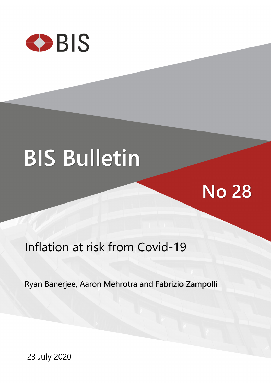

# **BIS Bulletin**

# Inflation at risk from Covid-19

Ryan Banerjee, Aaron Mehrotra and Fabrizio Zampolli

**No 28** 

23 July 2020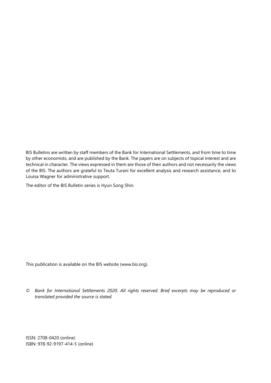BIS Bulletins are written by staff members of the Bank for International Settlements, and from time to time by other economists, and are published by the Bank. The papers are on subjects of topical interest and are technical in character. The views expressed in them are those of their authors and not necessarily the views of the BIS. The authors are grateful to Teuta Turani for excellent analysis and research assistance, and to Louisa Wagner for administrative support.

The editor of the BIS Bulletin series is Hyun Song Shin.

This publication is available on the BIS website [\(www.bis.org\)](http://www.bis.org/).

*© Bank for International Settlements 2020. All rights reserved. Brief excerpts may be reproduced or translated provided the source is stated.* 

ISSN: 2708-0420 (online) ISBN: 978-92-9197-414-5 (online)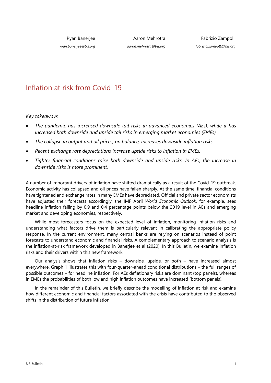Ryan Banerjee

*ryan.banerjee@bis.org*

Aaron Mehrotra

*aaron.mehrotra@bis.org*

Fabrizio Zampolli *fabrizio.zampolli@bis.org*

# Inflation at risk from Covid-19

*Key takeaways* 

- *The pandemic has increased downside tail risks in advanced economies (AEs), while it has increased both downside and upside tail risks in emerging market economies (EMEs).*
- *The collapse in output and oil prices, on balance, increases downside inflation risks.*
- *Recent exchange rate depreciations increase upside risks to inflation in EMEs.*
- *Tighter financial conditions raise both downside and upside risks. In AEs, the increase in downside risks is more prominent.*

A number of important drivers of inflation have shifted dramatically as a result of the Covid-19 outbreak. Economic activity has collapsed and oil prices have fallen sharply. At the same time, financial conditions have tightened and exchange rates in many EMEs have depreciated. Official and private sector economists have adjusted their forecasts accordingly; the IMF April *World Economic Outlook*, for example, sees headline inflation falling by 0.9 and 0.4 percentage points below the 2019 level in AEs and emerging market and developing economies, respectively.

While most forecasters focus on the expected level of inflation, monitoring inflation risks and understanding what factors drive them is particularly relevant in calibrating the appropriate policy response. In the current environment, many central banks are relying on scenarios instead of point forecasts to understand economic and financial risks. A complementary approach to scenario analysis is the inflation-at-risk framework developed in Banerjee et al (2020). In this Bulletin, we examine inflation risks and their drivers within this new framework.

Our analysis shows that inflation risks – downside, upside, or both – have increased almost everywhere. Graph 1 illustrates this with four-quarter-ahead conditional distributions – the full ranges of possible outcomes – for headline inflation. For AEs deflationary risks are dominant (top panels), whereas in EMEs the probabilities of both low and high inflation outcomes have increased (bottom panels).

In the remainder of this Bulletin, we briefly describe the modelling of inflation at risk and examine how different economic and financial factors associated with the crisis have contributed to the observed shifts in the distribution of future inflation.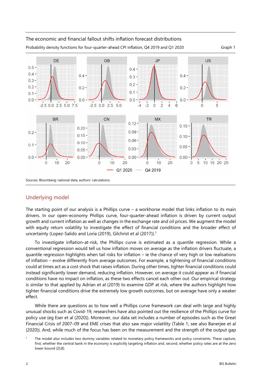

### Underlying model

The starting point of our analysis is a Phillips curve – a workhorse model that links inflation to its main drivers. In our open-economy Phillips curve, four-quarter-ahead inflation is driven by current output growth and current inflation as well as changes in the exchange rate and oil prices. We augment the model with equity return volatility to investigate the effect of financial conditions and the broader effect of uncertainty (Lopez-Salido and Loria (2019), Gilchrist et al (2017)).<sup>1</sup>

To investigate inflation-at-risk, the Phillips curve is estimated as a quantile regression. While a conventional regression would tell us how inflation moves on average as the inflation drivers fluctuate, a quantile regression highlights when tail risks for inflation – ie the chance of very high or low realisations of inflation – evolve differently from average outcomes. For example, a tightening of financial conditions could at times act as a cost shock that raises inflation. During other times, tighter financial conditions could instead significantly lower demand, reducing inflation. However, on average it could appear as if financial conditions have no impact on inflation, as these two effects cancel each other out. Our empirical strategy is similar to that applied by Adrian et al (2019) to examine GDP at risk, where the authors highlight how tighter financial conditions drive the extremely low growth outcomes, but on average have only a weaker effect.

While there are questions as to how well a Phillips curve framework can deal with large and highly unusual shocks such as Covid-19, researchers have also pointed out the resilience of the Phillips curve for policy use (eg Eser et al (2020)). Moreover, our data set includes a number of episodes such as the Great Financial Crisis of 2007–09 and EME crises that also saw major volatility (Table 1; see also Banerjee et al (2020)). And, while much of the focus has been on the measurement and the strength of the output gap

<span id="page-3-0"></span><sup>1</sup> The model also includes two dummy variables related to monetary policy frameworks and policy constraints. These capture, first, whether the central bank in the economy is explicitly targeting inflation and, second, whether policy rates are at the zero lower bound (ZLB).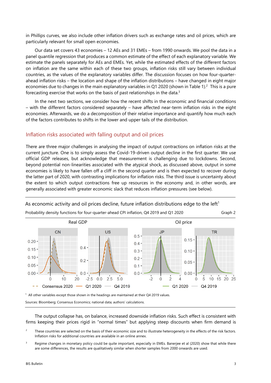in Phillips curves, we also include other inflation drivers such as exchange rates and oil prices, which are particularly relevant for small open economies.

Our data set covers 43 economies – 12 AEs and 31 EMEs – from 1990 onwards. We pool the data in a panel quantile regression that produces a common estimate of the effect of each explanatory variable. We estimate the panels separately for AEs and EMEs. Yet, while the estimated effects of the different factors on inflation are the same within each of these two groups, inflation risks still vary between individual countries, as the values of the explanatory variables differ. The discussion focuses on how four-quarterahead inflation risks – the location and shape of the inflation distributions – have changed in eight major economies due to changes in the main explanatory variables in Q1 2020 (shown in Table 1).<sup>2</sup> This is a pure forecasting exercise that works on the basis of past relationships in the data.[3](#page-4-0) 

In the next two sections, we consider how the recent shifts in the economic and financial conditions – with the different factors considered separately – have affected near-term inflation risks in the eight economies. Afterwards, we do a decomposition of their relative importance and quantify how much each of the factors contributes to shifts in the lower and upper tails of the distribution.

#### Inflation risks associated with falling output and oil prices

There are three major challenges in analysing the impact of output contractions on inflation risks at the current juncture. One is to simply assess the Covid-19-driven output decline in the first quarter. We use official GDP releases, but acknowledge that measurement is challenging due to lockdowns. Second, beyond potential non-linearities associated with the atypical shock, as discussed above, output in some economies is likely to have fallen off a cliff in the second quarter and is then expected to recover during the latter part of 2020, with contrasting implications for inflation risks. The third issue is uncertainty about the extent to which output contractions free up resources in the economy and, in other words, are generally associated with greater economic slack that reduces inflation pressures (see below).



As economic activity and oil prices decline, future inflation distributions edge to the left<sup>1</sup>

Sources: Bloomberg; Consensus Economics; national data; authors' calculations.

The output collapse has, on balance, increased downside inflation risks. Such effect is consistent with firms keeping their prices rigid in "normal times" but applying steep discounts when firm demand is

- <span id="page-4-1"></span>2 These countries are selected on the basis of their economic size and to illustrate heterogeneity in the effects of the risk factors. Inflation risks for additional countries are available in an online annex.
- <span id="page-4-0"></span>3 Regime changes in monetary policy could be quite important, especially in EMEs. Banerjee et al (2020) show that while there are some differences, the results are qualitatively similar when shorter samples from 2000 onwards are used.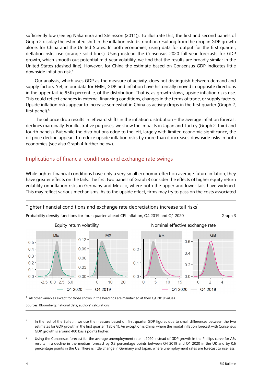sufficiently low (see eg Nakamura and Steinsson (2011)). To illustrate this, the first and second panels of Graph 2 display the estimated shift in the inflation risk distribution resulting from the drop in GDP growth alone, for China and the United States. In both economies, using data for output for the first quarter, deflation risks rise (orange solid lines). Using instead the Consensus 2020 full-year forecasts for GDP growth, which smooth out potential mid-year volatility, we find that the results are broadly similar in the United States (dashed line). However, for China the estimate based on Consensus GDP indicates little downside inflation risk.[4](#page-5-1) 

Our analysis, which uses GDP as the measure of activity, does not distinguish between demand and supply factors. Yet, in our data for EMEs, GDP and inflation have historically moved in opposite directions in the upper tail, ie 95th percentile, of the distribution. That is, as growth slows, upside inflation risks rise. This could reflect changes in external financing conditions, changes in the terms of trade, or supply factors. Upside inflation risks appear to increase somewhat in China as activity drops in the first quarter (Graph 2, first panel). $5$ 

The oil price drop results in leftward shifts in the inflation distribution – the average inflation forecast declines marginally. For illustrative purposes, we show the impacts in Japan and Turkey (Graph 2, third and fourth panels). But while the distributions edge to the left, largely with limited economic significance, the oil price decline appears to reduce upside inflation risks by more than it increases downside risks in both economies (see also Graph 4 further below).

#### Implications of financial conditions and exchange rate swings

While tighter financial conditions have only a very small economic effect on average future inflation, they have greater effects on the tails. The first two panels of Graph 3 consider the effects of higher equity return volatility on inflation risks in Germany and Mexico, where both the upper and lower tails have widened. This may reflect various mechanisms. As to the upside effect, firms may try to pass on the costs associated



 $1$  All other variables except for those shown in the headings are maintained at their Q4 2019 values.

Sources: Bloomberg; national data; authors' calculations

<span id="page-5-1"></span>4 In the rest of the Bulletin, we use the measure based on first quarter GDP figures due to small differences between the two estimates for GDP growth in the first quarter (Table 1). An exception is China, where the modal inflation forecast with Consensus GDP growth is around 400 basis points higher.

<span id="page-5-0"></span>5 Using the Consensus forecast for the average unemployment rate in 2020 instead of GDP growth in the Phillips curve for AEs results in a decline in the median forecast by 0.3 percentage points between Q4 2019 and Q1 2020 in the UK and by 0.6 percentage points in the US. There is little change in Germany and Japan, where unemployment rates are forecast to rise less.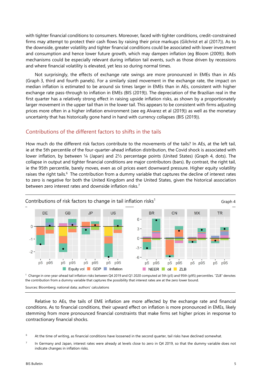with tighter financial conditions to consumers. Moreover, faced with tighter conditions, credit-constrained firms may attempt to protect their cash flows by raising their price markups (Gilchrist et al (2017)). As to the downside, greater volatility and tighter financial conditions could be associated with lower investment and consumption and hence lower future growth, which may dampen inflation (eg Bloom (2009)). Both mechanisms could be especially relevant during inflation tail events, such as those driven by recessions and where financial volatility is elevated, yet less so during normal times.

Not surprisingly, the effects of exchange rate swings are more pronounced in EMEs than in AEs (Graph 3, third and fourth panels). For a similarly sized movement in the exchange rate, the impact on median inflation is estimated to be around six times larger in EMEs than in AEs, consistent with higher exchange rate pass-through to inflation in EMEs (BIS (2019)). The depreciation of the Brazilian real in the first quarter has a relatively strong effect in raising upside inflation risks, as shown by a proportionately larger movement in the upper tail than in the lower tail. This appears to be consistent with firms adjusting prices more often in a higher inflation environment (see eg Alvarez et al (2019)) as well as the monetary uncertainty that has historically gone hand in hand with currency collapses (BIS (2019)).

#### Contributions of the different factors to shifts in the tails

How much do the different risk factors contribute to the movements of the tails? In AEs, at the left tail, ie at the 5th percentile of the four-quarter-ahead inflation distribution, the Covid shock is associated with lower inflation, by between ¼ (Japan) and 2½ percentage points (United States) (Graph 4, dots). The collapse in output and tighter financial conditions are major contributors (bars). By contrast, the right tail, ie the 95th percentile, barely moves, even as oil prices exert downward pressure. Higher equity volatility raises the right tails.<sup>6</sup> The contribution from a dummy variable that captures the decline of interest rates to zero is negative for both the United Kingdom and the United States, given the historical association between zero interest rates and downside inflation risks.<sup>[7](#page-6-0)</sup>



1 Change in one-year-ahead tail inflation risks between Q4 2019 and Q1 2020 computed at 5th (p5) and 95th (p95) percentiles. "ZLB" denotes the contribution from a dummy variable that captures the possibility that interest rates are at the zero lower bound.

Sources: Bloomberg; national data; authors' calculations

Relative to AEs, the tails of EME inflation are more affected by the exchange rate and financial conditions. As to financial conditions, their upward effect on inflation is more pronounced in EMEs, likely stemming from more pronounced financial constraints that make firms set higher prices in response to contractionary financial shocks.

- <span id="page-6-1"></span>6 At the time of writing, as financial conditions have loosened in the second quarter, tail risks have declined somewhat.
- <span id="page-6-0"></span>7 In Germany and Japan, interest rates were already at levels close to zero in Q4 2019, so that the dummy variable does not indicate changes in inflation risks.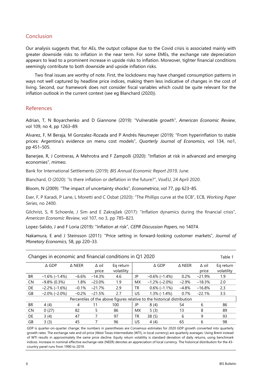#### Conclusion

Our analysis suggests that, for AEs, the output collapse due to the Covid crisis is associated mainly with greater downside risks to inflation in the near term. For some EMEs, the exchange rate depreciation appears to lead to a prominent increase in upside risks to inflation. Moreover, tighter financial conditions seemingly contribute to both downside and upside inflation risks.

Two final issues are worthy of note. First, the lockdowns may have changed consumption patterns in ways not well captured by headline price indices, making them less indicative of changes in the cost of living. Second, our framework does not consider fiscal variables which could be quite relevant for the inflation outlook in the current context (see eg Blanchard (2020)).

#### References

Adrian, T, N Boyarchenko and D Giannone (2019): "Vulnerable growth", *American Economic Review*, vol 109, no 4, pp 1263–89.

Alvarez, F, M Beraja, M Gonzalez-Rozada and P Andrés Neumeyer (2019): "From hyperinflation to stable prices: Argentina's evidence on menu cost models", *Quarterly Journal of Economics*, vol 134, no1, pp 451–505.

Banerjee, R, J Contreras, A Mehrotra and F Zampolli (2020): "Inflation at risk in advanced and emerging economies", mimeo.

Bank for International Settlements (2019): *BIS Annual Economic Report 2019*, June.

Blanchard, O (2020): "Is there inflation or deflation in the future?", *VoxEU*, 24 April 2020.

Bloom, N (2009): "The impact of uncertainty shocks", *Econometrica*, vol 77, pp 623–85.

Eser, F, P Karadi, P Lane, L Moretti and C Osbat (2020): "The Phillips curve at the ECB", ECB, *Working Paper Series*, no 2400.

Gilchrist, S, R Schoenle, J Sim and E Zakrajšek (2017): "Inflation dynamics during the financial crisis", *American Economic Review*, vol 107, no 3, pp 785–823.

Lopez-Salido, J and F Loria (2019): "Inflation at risk", *CEPR Discussion Papers*, no 14074.

Nakamura, E and J Steinsson (2011): "Price setting in forward-looking customer markets", *Journal of Monetary Economics,* 58, pp 220–33.

| Changes in economic and financial conditions in Q1 2020<br>Table 1       |                       |                  |          |            |           |                       |                  |              |            |
|--------------------------------------------------------------------------|-----------------------|------------------|----------|------------|-----------|-----------------------|------------------|--------------|------------|
|                                                                          | $\Delta$ GDP          | $\triangle$ NEER | ∆ oil    | Eq return  |           | $\triangle$ GDP       | $\triangle$ NEER | $\Delta$ oil | Eq return  |
|                                                                          |                       |                  | price    | volatility |           |                       |                  | price        | volatility |
| <b>BR</b>                                                                | $-1.6\%(-1.4\%)$      | $-6.6%$          | $-14.3%$ | 4.6        | JP        | $-0.6\%$ ( $-1.4\%$ ) | 0.2%             | $-21.9%$     | 1.9        |
| <b>CN</b>                                                                | $-9.8\%$ (0.3%)       | 1.8%             | $-23.0%$ | 1.9        | <b>MX</b> | $-1.2\%$ ( $-2.0\%$ ) | $-2.9%$          | $-18.3%$     | 2.0        |
| DE.                                                                      | $-2.2\%(-1.6\%)$      | $-0.1%$          | $-21.7%$ | 2.9        | TR        | $0.6\%(-1.1\%)$       | $-4.8%$          | $-16.8%$     | 2.3        |
| GB                                                                       | $-2.0\%$ ( $-2.0\%$ ) | $-0.2%$          | $-21.5%$ | 2.7        | US.       | $1.3\%$ (-1.4%)       | 0.7%             | $-22.1%$     | 3.5        |
| Percentiles of the above figures relative to the historical distribution |                       |                  |          |            |           |                       |                  |              |            |
| <b>BR</b>                                                                | 4(4)                  | 4                | 11       | 100        | JP        | 8(4)                  | 54               | 6            | 86         |
| <b>CN</b>                                                                | 0(27)                 | 82               | 5        | 86         | <b>MX</b> | 5(3)                  | 13               | 8            | 89         |
| DE                                                                       | 3(4)                  | 47               |          | 97         | TR        | 38(5)                 | 6                | 9            | 93         |
| GB                                                                       | 3(3)                  | 45               | 7        | 96         | US.       | 4(4)                  | 65               | 6            | 98         |

GDP is quarter-on-quarter change; the numbers in parentheses are Consensus estimates for 2020 GDP growth converted into quarterly growth rates. The exchange rate and oil price (West Texas Intermediate (WTI), in local currency) are quarterly averages. Using Brent instead of WTI results in approximately the same price decline. Equity return volatility is standard deviation of daily returns, using benchmark indices. Increase in nominal effective exchange rate (NEER) denotes an appreciation of local currency. The historical distribution for the 43 country panel runs from 1990 to 2019.